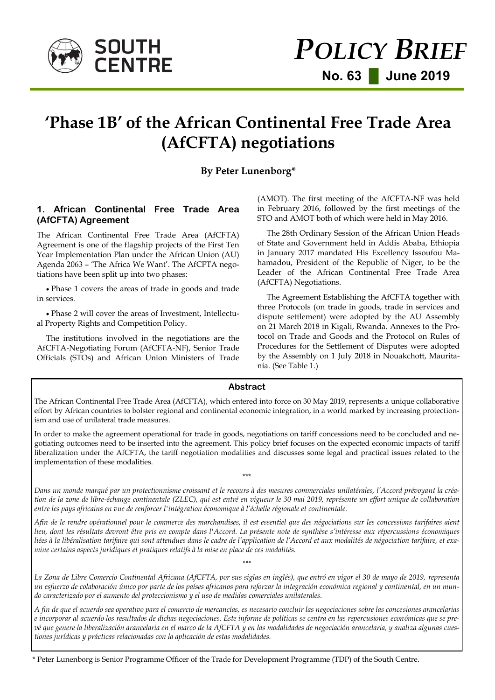

# **'Phase 1B' of the African Continental Free Trade Area (AfCFTA) negotiations**

# **By Peter Lunenborg\***

# **1. African Continental Free Trade Area (AfCFTA) Agreement**

The African Continental Free Trade Area (AfCFTA) Agreement is one of the flagship projects of the First Ten Year Implementation Plan under the African Union (AU) Agenda 2063 – 'The Africa We Want'. The AfCFTA negotiations have been split up into two phases:

 Phase 1 covers the areas of trade in goods and trade in services.

 Phase 2 will cover the areas of Investment, Intellectual Property Rights and Competition Policy.

The institutions involved in the negotiations are the AfCFTA-Negotiating Forum (AfCFTA-NF), Senior Trade Officials (STOs) and African Union Ministers of Trade (AMOT). The first meeting of the AfCFTA-NF was held in February 2016, followed by the first meetings of the STO and AMOT both of which were held in May 2016.

The 28th Ordinary Session of the African Union Heads of State and Government held in Addis Ababa, Ethiopia in January 2017 mandated His Excellency Issoufou Mahamadou, President of the Republic of Niger, to be the Leader of the African Continental Free Trade Area (AfCFTA) Negotiations.

The Agreement Establishing the AfCFTA together with three Protocols (on trade in goods, trade in services and dispute settlement) were adopted by the AU Assembly on 21 March 2018 in Kigali, Rwanda. Annexes to the Protocol on Trade and Goods and the Protocol on Rules of Procedures for the Settlement of Disputes were adopted by the Assembly on 1 July 2018 in Nouakchott, Mauritania. (See Table 1.)

#### **Abstract**

The African Continental Free Trade Area (AfCFTA), which entered into force on 30 May 2019, represents a unique collaborative effort by African countries to bolster regional and continental economic integration, in a world marked by increasing protectionism and use of unilateral trade measures.

In order to make the agreement operational for trade in goods, negotiations on tariff concessions need to be concluded and negotiating outcomes need to be inserted into the agreement. This policy brief focuses on the expected economic impacts of tariff liberalization under the AfCFTA, the tariff negotiation modalities and discusses some legal and practical issues related to the implementation of these modalities.

*Dans un monde marqué par un protectionnisme croissant et le recours à des mesures commerciales unilatérales, l'Accord prévoyant la création de la zone de libre-échange continentale (ZLEC), qui est entré en vigueur le 30 mai 2019, représente un effort unique de collaboration entre les pays africains en vue de renforcer l'intégration économique à l'échelle régionale et continentale.*

\*\*\*

*Afin de le rendre opérationnel pour le commerce des marchandises, il est essentiel que des négociations sur les concessions tarifaires aient lieu, dont les résultats devront être pris en compte dans l'Accord. La présente note de synthèse s'intéresse aux répercussions économiques liées à la libéralisation tarifaire qui sont attendues dans le cadre de l'application de l'Accord et aux modalités de négociation tarifaire, et examine certains aspects juridiques et pratiques relatifs à la mise en place de ces modalités.*

*La Zona de Libre Comercio Continental Africana (AfCFTA, por sus siglas en inglés), que entró en vigor el 30 de mayo de 2019, representa un esfuerzo de colaboración único por parte de los países africanos para reforzar la integración económica regional y continental, en un mundo caracterizado por el aumento del proteccionismo y el uso de medidas comerciales unilaterales.*

*\*\*\**

*A fin de que el acuerdo sea operativo para el comercio de mercancías, es necesario concluir las negociaciones sobre las concesiones arancelarias e incorporar al acuerdo los resultados de dichas negociaciones. Este informe de políticas se centra en las repercusiones económicas que se prevé que genere la liberalización arancelaria en el marco de la AfCFTA y en las modalidades de negociación arancelaria, y analiza algunas cuestiones jurídicas y prácticas relacionadas con la aplicación de estas modalidades.* 

\* Peter Lunenborg is Senior Programme Officer of the Trade for Development Programme (TDP) of the South Centre.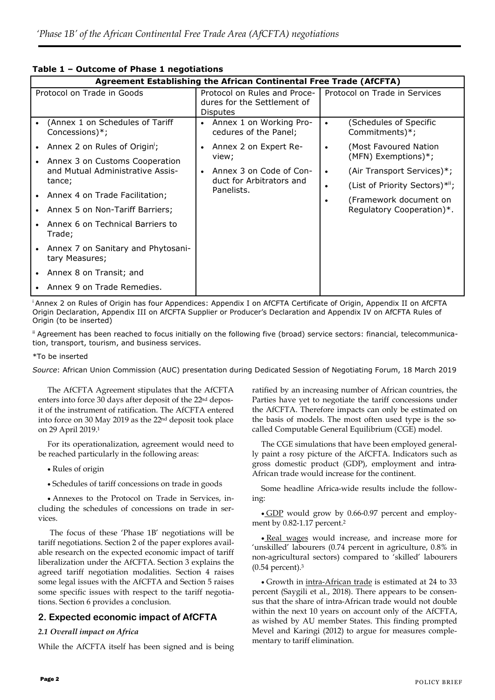| Agreement Establishing the African Continental Free Trade (AfCFTA) |                                                                   |                                                                                |                                                             |                                                     |
|--------------------------------------------------------------------|-------------------------------------------------------------------|--------------------------------------------------------------------------------|-------------------------------------------------------------|-----------------------------------------------------|
| Protocol on Trade in Goods                                         |                                                                   | Protocol on Rules and Proce-<br>dures for the Settlement of<br><b>Disputes</b> |                                                             | Protocol on Trade in Services                       |
| (Annex 1 on Schedules of Tariff<br>Concessions)*;                  |                                                                   | • Annex 1 on Working Pro-<br>cedures of the Panel;                             |                                                             | (Schedules of Specific<br>Commitments)*;            |
| Annex 2 on Rules of Origin';<br>Annex 3 on Customs Cooperation     |                                                                   | Annex 2 on Expert Re-<br>view;                                                 | $\bullet$                                                   | (Most Favoured Nation<br>(MFN) Exemptions)*;        |
| and Mutual Administrative Assis-<br>tance;                         | Annex 3 on Code of Con-<br>duct for Arbitrators and<br>Panelists. | $\bullet$                                                                      | (Air Transport Services)*;<br>(List of Priority Sectors)*"; |                                                     |
| Annex 4 on Trade Facilitation;<br>Annex 5 on Non-Tariff Barriers;  |                                                                   |                                                                                | $\bullet$                                                   | (Framework document on<br>Regulatory Cooperation)*. |
| Annex 6 on Technical Barriers to<br>Trade;                         |                                                                   |                                                                                |                                                             |                                                     |
| Annex 7 on Sanitary and Phytosani-<br>tary Measures;               |                                                                   |                                                                                |                                                             |                                                     |
| Annex 8 on Transit; and                                            |                                                                   |                                                                                |                                                             |                                                     |
| Annex 9 on Trade Remedies.                                         |                                                                   |                                                                                |                                                             |                                                     |

# **Table 1 – Outcome of Phase 1 negotiations**

<sup>i</sup>Annex 2 on Rules of Origin has four Appendices: Appendix I on AfCFTA Certificate of Origin, Appendix II on AfCFTA Origin Declaration, Appendix III on AfCFTA Supplier or Producer's Declaration and Appendix IV on AfCFTA Rules of Origin (to be inserted)

ii Agreement has been reached to focus initially on the following five (broad) service sectors: financial, telecommunication, transport, tourism, and business services.

#### \*To be inserted

*Source*: African Union Commission (AUC) presentation during Dedicated Session of Negotiating Forum, 18 March 2019

The AfCFTA Agreement stipulates that the AfCFTA enters into force 30 days after deposit of the 22<sup>nd</sup> deposit of the instrument of ratification. The AfCFTA entered into force on 30 May 2019 as the 22nd deposit took place on 29 April 2019.<sup>1</sup>

For its operationalization, agreement would need to be reached particularly in the following areas:

- Rules of origin
- Schedules of tariff concessions on trade in goods

 Annexes to the Protocol on Trade in Services, including the schedules of concessions on trade in services.

The focus of these 'Phase 1B' negotiations will be tariff negotiations. Section 2 of the paper explores available research on the expected economic impact of tariff liberalization under the AfCFTA. Section 3 explains the agreed tariff negotiation modalities. Section 4 raises some legal issues with the AfCFTA and Section 5 raises some specific issues with respect to the tariff negotiations. Section 6 provides a conclusion.

### **2. Expected economic impact of AfCFTA**

#### *2.1 Overall impact on Africa*

While the AfCFTA itself has been signed and is being

ratified by an increasing number of African countries, the Parties have yet to negotiate the tariff concessions under the AfCFTA. Therefore impacts can only be estimated on the basis of models. The most often used type is the socalled Computable General Equilibrium (CGE) model.

The CGE simulations that have been employed generally paint a rosy picture of the AfCFTA. Indicators such as gross domestic product (GDP), employment and intra-African trade would increase for the continent.

Some headline Africa-wide results include the following:

 GDP would grow by 0.66-0.97 percent and employment by 0.82-1.17 percent.<sup>2</sup>

• Real wages would increase, and increase more for 'unskilled' labourers (0.74 percent in agriculture, 0.8% in non-agricultural sectors) compared to 'skilled' labourers (0.54 percent).<sup>3</sup>

Growth in intra-African trade is estimated at 24 to 33 percent [\(Saygili et al., 2018\)](file:///I:/INNOVATION%20and%20ACCESS%20TO%20KNOWLEDGE%20PROGRAMME/PROGRAMME%20STAFF%20FOLDERS/Anna/Policy%20Briefs/SC%20Policy%20Brief%20%20Phase%201B%20of%20the%20AfCFTA%20negotiations%2021%20May%202019%20(edited)%20PL%20(3)%20CLEAN.docx#_ENREF_2#_ENREF_2). There appears to be consensus that the share of intra-African trade would not double within the next 10 years on account only of the AfCFTA, as wished by AU member States. This finding prompted [Mevel and Karingi \(2012\)](file:///I:/INNOVATION%20and%20ACCESS%20TO%20KNOWLEDGE%20PROGRAMME/PROGRAMME%20STAFF%20FOLDERS/Anna/Policy%20Briefs/SC%20Policy%20Brief%20%20Phase%201B%20of%20the%20AfCFTA%20negotiations%2021%20May%202019%20(edited)%20PL%20(3)%20CLEAN.docx#_ENREF_1#_ENREF_1) to argue for measures complementary to tariff elimination.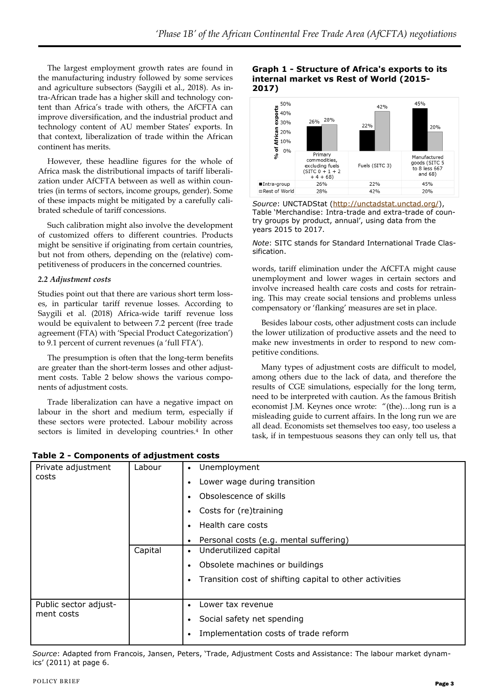The largest employment growth rates are found in the manufacturing industry followed by some services and agriculture subsectors [\(Saygili et al., 2018\)](file:///I:/INNOVATION%20and%20ACCESS%20TO%20KNOWLEDGE%20PROGRAMME/PROGRAMME%20STAFF%20FOLDERS/Anna/Policy%20Briefs/SC%20Policy%20Brief%20%20Phase%201B%20of%20the%20AfCFTA%20negotiations%2021%20May%202019%20(edited)%20PL%20(3)%20CLEAN.docx#_ENREF_2#_ENREF_2). As intra-African trade has a higher skill and technology content than Africa's trade with others, the AfCFTA can improve diversification, and the industrial product and technology content of AU member States' exports. In that context, liberalization of trade within the African continent has merits.

However, these headline figures for the whole of Africa mask the distributional impacts of tariff liberalization under AfCFTA between as well as within countries (in terms of sectors, income groups, gender). Some of these impacts might be mitigated by a carefully calibrated schedule of tariff concessions.

Such calibration might also involve the development of customized offers to different countries. Products might be sensitive if originating from certain countries, but not from others, depending on the (relative) competitiveness of producers in the concerned countries.

#### *2.2 Adjustment costs*

Studies point out that there are various short term losses, in particular tariff revenue losses. According to [Saygili et al. \(2018\)](file:///I:/INNOVATION%20and%20ACCESS%20TO%20KNOWLEDGE%20PROGRAMME/PROGRAMME%20STAFF%20FOLDERS/Anna/Policy%20Briefs/SC%20Policy%20Brief%20%20Phase%201B%20of%20the%20AfCFTA%20negotiations%2021%20May%202019%20(edited)%20PL%20(3)%20CLEAN.docx#_ENREF_2#_ENREF_2) Africa-wide tariff revenue loss would be equivalent to between 7.2 percent (free trade agreement (FTA) with 'Special Product Categorization') to 9.1 percent of current revenues (a 'full FTA').

The presumption is often that the long-term benefits are greater than the short-term losses and other adjustment costs. Table 2 below shows the various components of adjustment costs.

Trade liberalization can have a negative impact on labour in the short and medium term, especially if these sectors were protected. Labour mobility across sectors is limited in developing countries.<sup>4</sup> In other

**Table 2 - Components of adjustment costs**

#### **Graph 1 - Structure of Africa's exports to its internal market vs Rest of World (2015- 2017)**



*Source*: UNCTADStat ([http://unctadstat.unctad.org/\),](http://unctadstat.unctad.org/) Table 'Merchandise: Intra-trade and extra-trade of country groups by product, annual', using data from the years 2015 to 2017.

*Note*: SITC stands for Standard International Trade Classification.

words, tariff elimination under the AfCFTA might cause unemployment and lower wages in certain sectors and involve increased health care costs and costs for retraining. This may create social tensions and problems unless compensatory or 'flanking' measures are set in place.

Besides labour costs, other adjustment costs can include the lower utilization of productive assets and the need to make new investments in order to respond to new competitive conditions.

Many types of adjustment costs are difficult to model, among others due to the lack of data, and therefore the results of CGE simulations, especially for the long term, need to be interpreted with caution. As the famous British economist J.M. Keynes once wrote: "(the)…long run is a misleading guide to current affairs. In the long run we are all dead. Economists set themselves too easy, too useless a task, if in tempestuous seasons they can only tell us, that

| Private adjustment<br>costs         | Labour  | Unemployment<br>$\bullet$<br>Lower wage during transition<br>Obsolescence of skills<br>Costs for (re)training<br>Health care costs<br>Personal costs (e.g. mental suffering) |
|-------------------------------------|---------|------------------------------------------------------------------------------------------------------------------------------------------------------------------------------|
|                                     | Capital | Underutilized capital<br>$\bullet$<br>Obsolete machines or buildings<br>Transition cost of shifting capital to other activities<br>٠                                         |
| Public sector adjust-<br>ment costs |         | Lower tax revenue<br>Social safety net spending<br>٠<br>Implementation costs of trade reform                                                                                 |

*Source*: Adapted from Francois, Jansen, Peters, 'Trade, Adjustment Costs and Assistance: The labour market dynamics' (2011) at page 6.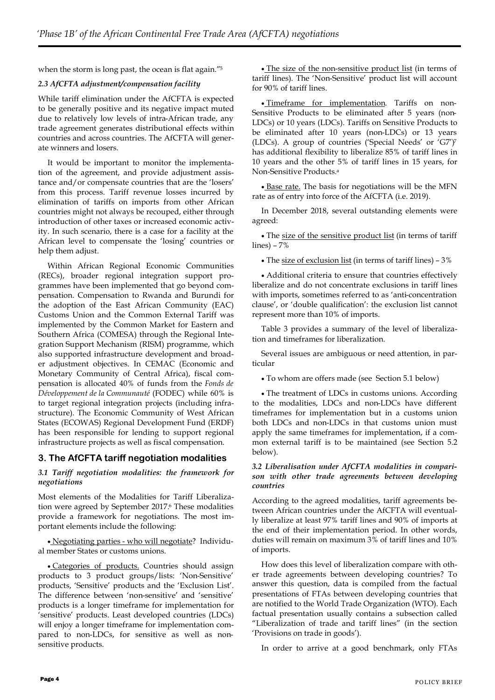when the storm is long past, the ocean is flat again."<sup>5</sup>

#### *2.3 AfCFTA adjustment/compensation facility*

While tariff elimination under the AfCFTA is expected to be generally positive and its negative impact muted due to relatively low levels of intra-African trade, any trade agreement generates distributional effects within countries and across countries. The AfCFTA will generate winners and losers.

It would be important to monitor the implementation of the agreement, and provide adjustment assistance and/or compensate countries that are the 'losers' from this process. Tariff revenue losses incurred by elimination of tariffs on imports from other African countries might not always be recouped, either through introduction of other taxes or increased economic activity. In such scenario, there is a case for a facility at the African level to compensate the 'losing' countries or help them adjust.

Within African Regional Economic Communities (RECs), broader regional integration support programmes have been implemented that go beyond compensation. Compensation to Rwanda and Burundi for the adoption of the East African Community (EAC) Customs Union and the Common External Tariff was implemented by the Common Market for Eastern and Southern Africa (COMESA) through the Regional Integration Support Mechanism (RISM) programme, which also supported infrastructure development and broader adjustment objectives. In CEMAC (Economic and Monetary Community of Central Africa), fiscal compensation is allocated 40% of funds from the *Fonds de Développement de la Communauté* (FODEC) while 60% is to target regional integration projects (including infrastructure). The Economic Community of West African States (ECOWAS) Regional Development Fund (ERDF) has been responsible for lending to support regional infrastructure projects as well as fiscal compensation.

# **3. The AfCFTA tariff negotiation modalities**

#### *3.1 Tariff negotiation modalities: the framework for negotiations*

Most elements of the Modalities for Tariff Liberalization were agreed by September 2017.<sup>6</sup> These modalities provide a framework for negotiations. The most important elements include the following:

 Negotiating parties - who will negotiate? Individual member States or customs unions.

 Categories of products. Countries should assign products to 3 product groups/lists: 'Non-Sensitive' products, 'Sensitive' products and the 'Exclusion List'. The difference between 'non-sensitive' and 'sensitive' products is a longer timeframe for implementation for 'sensitive' products. Least developed countries (LDCs) will enjoy a longer timeframe for implementation compared to non-LDCs, for sensitive as well as nonsensitive products.

 The size of the non-sensitive product list (in terms of tariff lines). The 'Non-Sensitive' product list will account for 90% of tariff lines.

 Timeframe for implementation. Tariffs on non-Sensitive Products to be eliminated after 5 years (non-LDCs) or 10 years (LDCs). Tariffs on Sensitive Products to be eliminated after 10 years (non-LDCs) or 13 years (LDCs). A group of countries ('Special Needs' or 'G7')<sup>7</sup> has additional flexibility to liberalize 85% of tariff lines in 10 years and the other 5% of tariff lines in 15 years, for Non-Sensitive Products.<sup>a</sup>

· Base rate. The basis for negotiations will be the MFN rate as of entry into force of the AfCFTA (i.e. 2019).

In December 2018, several outstanding elements were agreed:

• The size of the sensitive product list (in terms of tariff lines) – 7%

The size of exclusion list (in terms of tariff lines) – 3%

 Additional criteria to ensure that countries effectively liberalize and do not concentrate exclusions in tariff lines with imports, sometimes referred to as 'anti-concentration clause', or 'double qualification': the exclusion list cannot represent more than 10% of imports.

Table 3 provides a summary of the level of liberalization and timeframes for liberalization.

Several issues are ambiguous or need attention, in particular

To whom are offers made (see Section 5.1 below)

• The treatment of LDCs in customs unions. According to the modalities, LDCs and non-LDCs have different timeframes for implementation but in a customs union both LDCs and non-LDCs in that customs union must apply the same timeframes for implementation, if a common external tariff is to be maintained (see Section 5.2 below).

#### *3.2 Liberalisation under AfCFTA modalities in comparison with other trade agreements between developing countries*

According to the agreed modalities, tariff agreements between African countries under the AfCFTA will eventually liberalize at least 97% tariff lines and 90% of imports at the end of their implementation period. In other words, duties will remain on maximum 3% of tariff lines and 10% of imports.

How does this level of liberalization compare with other trade agreements between developing countries? To answer this question, data is compiled from the factual presentations of FTAs between developing countries that are notified to the World Trade Organization (WTO). Each factual presentation usually contains a subsection called "Liberalization of trade and tariff lines" (in the section 'Provisions on trade in goods').

In order to arrive at a good benchmark, only FTAs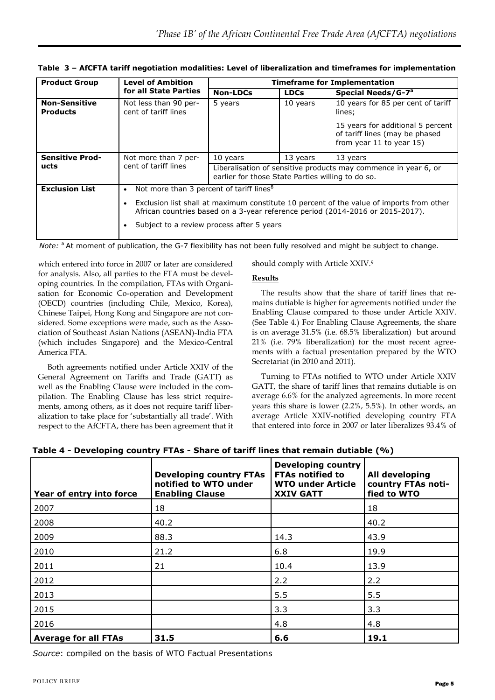| <b>Product Group</b>                    | <b>Level of Ambition</b>                             | <b>Timeframe for Implementation</b>                                                                                                                                                                                     |             |                                                                                                 |
|-----------------------------------------|------------------------------------------------------|-------------------------------------------------------------------------------------------------------------------------------------------------------------------------------------------------------------------------|-------------|-------------------------------------------------------------------------------------------------|
|                                         | for all State Parties                                | <b>Non-LDCs</b>                                                                                                                                                                                                         | <b>LDCs</b> | Special Needs/G-7 <sup>a</sup>                                                                  |
| <b>Non-Sensitive</b><br><b>Products</b> | Not less than 90 per-<br>cent of tariff lines        | 5 years                                                                                                                                                                                                                 | 10 years    | 10 years for 85 per cent of tariff<br>lines;                                                    |
|                                         |                                                      |                                                                                                                                                                                                                         |             | 15 years for additional 5 percent<br>of tariff lines (may be phased<br>from year 11 to year 15) |
| <b>Sensitive Prod-</b>                  | Not more than 7 per-                                 | 10 years<br>13 years<br>13 years<br>Liberalisation of sensitive products may commence in year 6, or<br>earlier for those State Parties willing to do so.                                                                |             |                                                                                                 |
| ucts                                    | cent of tariff lines                                 |                                                                                                                                                                                                                         |             |                                                                                                 |
| <b>Exclusion List</b>                   | Not more than 3 percent of tariff lines <sup>8</sup> |                                                                                                                                                                                                                         |             |                                                                                                 |
|                                         |                                                      | Exclusion list shall at maximum constitute 10 percent of the value of imports from other<br>African countries based on a 3-year reference period (2014-2016 or 2015-2017).<br>Subject to a review process after 5 years |             |                                                                                                 |

**Table 3 – AfCFTA tariff negotiation modalities: Level of liberalization and timeframes for implementation**

*Note:* <sup>a</sup> At moment of publication, the G-7 flexibility has not been fully resolved and might be subject to change.

which entered into force in 2007 or later are considered for analysis. Also, all parties to the FTA must be developing countries. In the compilation, FTAs with Organisation for Economic Co-operation and Development (OECD) countries (including Chile, Mexico, Korea), Chinese Taipei, Hong Kong and Singapore are not considered. Some exceptions were made, such as the Association of Southeast Asian Nations (ASEAN)-India FTA (which includes Singapore) and the Mexico-Central America FTA.

Both agreements notified under Article XXIV of the General Agreement on Tariffs and Trade (GATT) as well as the Enabling Clause were included in the compilation. The Enabling Clause has less strict requirements, among others, as it does not require tariff liberalization to take place for 'substantially all trade'. With respect to the AfCFTA, there has been agreement that it should comply with Article XXIV.<sup>9</sup>

### **Results**

The results show that the share of tariff lines that remains dutiable is higher for agreements notified under the Enabling Clause compared to those under Article XXIV. (See Table 4.) For Enabling Clause Agreements, the share is on average 31.5% (i.e. 68.5% liberalization) but around 21% (i.e. 79% liberalization) for the most recent agreements with a factual presentation prepared by the WTO Secretariat (in 2010 and 2011).

Turning to FTAs notified to WTO under Article XXIV GATT, the share of tariff lines that remains dutiable is on average 6.6% for the analyzed agreements. In more recent years this share is lower (2.2%, 5.5%). In other words, an average Article XXIV-notified developing country FTA that entered into force in 2007 or later liberalizes 93.4% of

| Year of entry into force    | <b>Developing country FTAs</b><br>notified to WTO under<br><b>Enabling Clause</b> | <b>Developing country</b><br><b>FTAs notified to</b><br><b>WTO under Article</b><br><b>XXIV GATT</b> | All developing<br>country FTAs noti-<br>fied to WTO |
|-----------------------------|-----------------------------------------------------------------------------------|------------------------------------------------------------------------------------------------------|-----------------------------------------------------|
| 2007                        | 18                                                                                |                                                                                                      | 18                                                  |
| 2008                        | 40.2                                                                              |                                                                                                      | 40.2                                                |
| 2009                        | 88.3                                                                              | 14.3                                                                                                 | 43.9                                                |
| 2010                        | 21.2                                                                              | 6.8                                                                                                  | 19.9                                                |
| 2011                        | 21                                                                                | 10.4                                                                                                 | 13.9                                                |
| 2012                        |                                                                                   | 2.2                                                                                                  | 2.2                                                 |
| 2013                        |                                                                                   | 5.5                                                                                                  | 5.5                                                 |
| 2015                        |                                                                                   | 3.3                                                                                                  | 3.3                                                 |
| 2016                        |                                                                                   | 4.8                                                                                                  | 4.8                                                 |
| <b>Average for all FTAs</b> | 31.5                                                                              | 6.6                                                                                                  | 19.1                                                |

**Table 4 - Developing country FTAs - Share of tariff lines that remain dutiable (%)**

*Source*: compiled on the basis of WTO Factual Presentations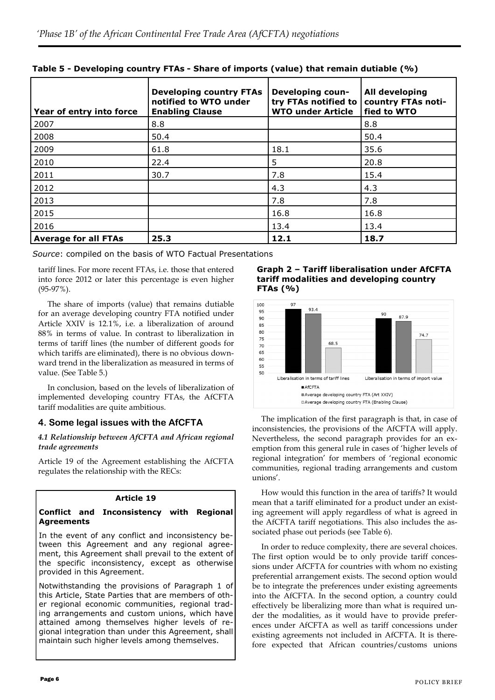| Year of entry into force    | <b>Developing country FTAs</b><br>notified to WTO under<br><b>Enabling Clause</b> | Developing coun-<br>try FTAs notified to<br><b>WTO under Article</b> | All developing<br>country FTAs noti-<br>fied to WTO |
|-----------------------------|-----------------------------------------------------------------------------------|----------------------------------------------------------------------|-----------------------------------------------------|
| 2007                        | 8.8                                                                               |                                                                      | 8.8                                                 |
| 2008                        | 50.4                                                                              |                                                                      | 50.4                                                |
| 2009                        | 61.8                                                                              | 18.1                                                                 | 35.6                                                |
| 2010                        | 22.4                                                                              | 5                                                                    | 20.8                                                |
| 2011                        | 30.7                                                                              | 7.8                                                                  | 15.4                                                |
| 2012                        |                                                                                   | 4.3                                                                  | 4.3                                                 |
| 2013                        |                                                                                   | 7.8                                                                  | 7.8                                                 |
| 2015                        |                                                                                   | 16.8                                                                 | 16.8                                                |
| 2016                        |                                                                                   | 13.4                                                                 | 13.4                                                |
| <b>Average for all FTAs</b> | 25.3                                                                              | 12.1                                                                 | 18.7                                                |

**Table 5 - Developing country FTAs - Share of imports (value) that remain dutiable (%)**

*Source*: compiled on the basis of WTO Factual Presentations

tariff lines. For more recent FTAs, i.e. those that entered into force 2012 or later this percentage is even higher (95-97%).

The share of imports (value) that remains dutiable for an average developing country FTA notified under Article XXIV is 12.1%, i.e. a liberalization of around 88% in terms of value. In contrast to liberalization in terms of tariff lines (the number of different goods for which tariffs are eliminated), there is no obvious downward trend in the liberalization as measured in terms of value. (See Table 5.)

In conclusion, based on the levels of liberalization of implemented developing country FTAs, the AfCFTA tariff modalities are quite ambitious.

# **4. Some legal issues with the AfCFTA**

### *4.1 Relationship between AfCFTA and African regional trade agreements*

Article 19 of the Agreement establishing the AfCFTA regulates the relationship with the RECs:

# **Article 19**

#### **Conflict and Inconsistency with Regional Agreements**

In the event of any conflict and inconsistency between this Agreement and any regional agreement, this Agreement shall prevail to the extent of the specific inconsistency, except as otherwise provided in this Agreement.

Notwithstanding the provisions of Paragraph 1 of this Article, State Parties that are members of other regional economic communities, regional trading arrangements and custom unions, which have attained among themselves higher levels of regional integration than under this Agreement, shall maintain such higher levels among themselves.

**Graph 2 – Tariff liberalisation under AfCFTA tariff modalities and developing country FTAs (%)**



The implication of the first paragraph is that, in case of inconsistencies, the provisions of the AfCFTA will apply. Nevertheless, the second paragraph provides for an exemption from this general rule in cases of 'higher levels of regional integration' for members of 'regional economic communities, regional trading arrangements and custom unions'.

How would this function in the area of tariffs? It would mean that a tariff eliminated for a product under an existing agreement will apply regardless of what is agreed in the AfCFTA tariff negotiations. This also includes the associated phase out periods (see Table 6).

In order to reduce complexity, there are several choices. The first option would be to only provide tariff concessions under AfCFTA for countries with whom no existing preferential arrangement exists. The second option would be to integrate the preferences under existing agreements into the AfCFTA. In the second option, a country could effectively be liberalizing more than what is required under the modalities, as it would have to provide preferences under AfCFTA as well as tariff concessions under existing agreements not included in AfCFTA. It is therefore expected that African countries/customs unions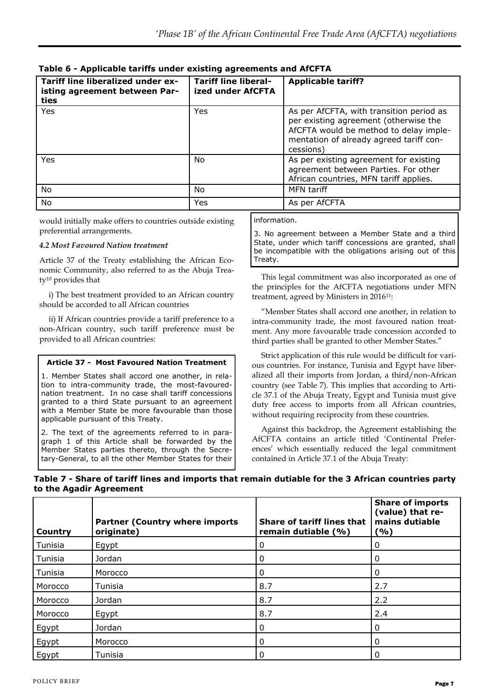| Tariff line liberalized under ex-<br>isting agreement between Par-<br>ties | <b>Tariff line liberal-</b><br>ized under AfCFTA | <b>Applicable tariff?</b>                                                                                                                                                           |
|----------------------------------------------------------------------------|--------------------------------------------------|-------------------------------------------------------------------------------------------------------------------------------------------------------------------------------------|
| Yes                                                                        | Yes                                              | As per AfCFTA, with transition period as<br>per existing agreement (otherwise the<br>AfCFTA would be method to delay imple-<br>mentation of already agreed tariff con-<br>cessions) |
| Yes                                                                        | No.                                              | As per existing agreement for existing<br>agreement between Parties. For other<br>African countries, MFN tariff applies.                                                            |
| No                                                                         | No.                                              | MFN tariff                                                                                                                                                                          |
| No                                                                         | Yes                                              | As per AfCFTA                                                                                                                                                                       |

**Table 6 - Applicable tariffs under existing agreements and AfCFTA**

would initially make offers to countries outside existing preferential arrangements.

#### *4.2 Most Favoured Nation treatment*

Article 37 of the Treaty establishing the African Economic Community, also referred to as the Abuja Treaty<sup>10</sup> provides that

i) The best treatment provided to an African country should be accorded to all African countries

ii) If African countries provide a tariff preference to a non-African country, such tariff preference must be provided to all African countries:

### **Article 37 - Most Favoured Nation Treatment**

1. Member States shall accord one another, in relation to intra-community trade, the most-favourednation treatment. In no case shall tariff concessions granted to a third State pursuant to an agreement with a Member State be more favourable than those applicable pursuant of this Treaty.

2. The text of the agreements referred to in paragraph 1 of this Article shall be forwarded by the Member States parties thereto, through the Secretary-General, to all the other Member States for their

information.

3. No agreement between a Member State and a third State, under which tariff concessions are granted, shall be incompatible with the obligations arising out of this Treaty.

This legal commitment was also incorporated as one of the principles for the AfCFTA negotiations under MFN treatment, agreed by Ministers in 201611:

"Member States shall accord one another, in relation to intra-community trade, the most favoured nation treatment. Any more favourable trade concession accorded to third parties shall be granted to other Member States."

Strict application of this rule would be difficult for various countries. For instance, Tunisia and Egypt have liberalized all their imports from Jordan, a third/non-African country (see Table 7). This implies that according to Article 37.1 of the Abuja Treaty, Egypt and Tunisia must give duty free access to imports from all African countries, without requiring reciprocity from these countries.

Against this backdrop, the Agreement establishing the AfCFTA contains an article titled 'Continental Preferences' which essentially reduced the legal commitment contained in Article 37.1 of the Abuja Treaty:

# **Table 7 - Share of tariff lines and imports that remain dutiable for the 3 African countries party to the Agadir Agreement**

| Country | <b>Partner (Country where imports</b><br>originate) | <b>Share of tariff lines that</b><br>remain dutiable (%) | <b>Share of imports</b><br>(value) that re-<br>mains dutiable<br>(%) |
|---------|-----------------------------------------------------|----------------------------------------------------------|----------------------------------------------------------------------|
| Tunisia | Egypt                                               | 0                                                        | 0                                                                    |
| Tunisia | Jordan                                              | 0                                                        | 0                                                                    |
| Tunisia | Morocco                                             | 0                                                        | 0                                                                    |
| Morocco | Tunisia                                             | 8.7                                                      | 2.7                                                                  |
| Morocco | Jordan                                              | 8.7                                                      | 2.2                                                                  |
| Morocco | Egypt                                               | 8.7                                                      | 2.4                                                                  |
| Egypt   | Jordan                                              | 0                                                        | 0                                                                    |
| Egypt   | Morocco                                             | 0                                                        | 0                                                                    |
| Egypt   | Tunisia                                             | 0                                                        | 0                                                                    |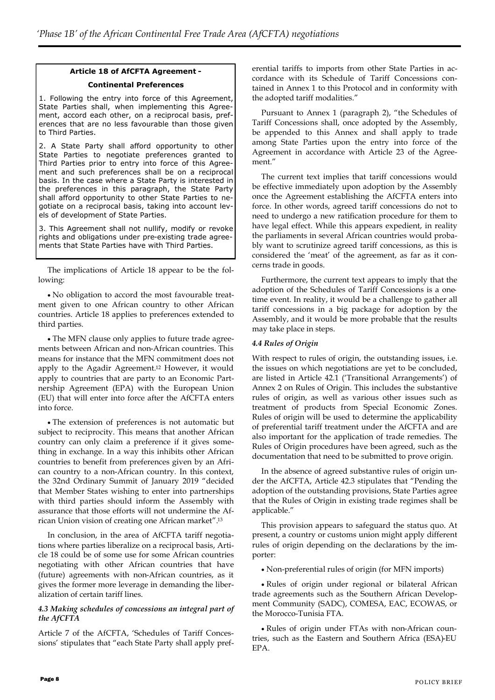# **Article 18 of AfCFTA Agreement - Continental Preferences**

1. Following the entry into force of this Agreement, State Parties shall, when implementing this Agreement, accord each other, on a reciprocal basis, preferences that are no less favourable than those given to Third Parties.

2. A State Party shall afford opportunity to other State Parties to negotiate preferences granted to Third Parties prior to entry into force of this Agreement and such preferences shall be on a reciprocal basis. In the case where a State Party is interested in the preferences in this paragraph, the State Party shall afford opportunity to other State Parties to negotiate on a reciprocal basis, taking into account levels of development of State Parties.

3. This Agreement shall not nullify, modify or revoke rights and obligations under pre-existing trade agreements that State Parties have with Third Parties.

The implications of Article 18 appear to be the following:

 No obligation to accord the most favourable treatment given to one African country to other African countries. Article 18 applies to preferences extended to third parties.

 The MFN clause only applies to future trade agreements between African and non-African countries. This means for instance that the MFN commitment does not apply to the Agadir Agreement.<sup>12</sup> However, it would apply to countries that are party to an Economic Partnership Agreement (EPA) with the European Union (EU) that will enter into force after the AfCFTA enters into force.

 The extension of preferences is not automatic but subject to reciprocity. This means that another African country can only claim a preference if it gives something in exchange. In a way this inhibits other African countries to benefit from preferences given by an African country to a non-African country. In this context, the 32nd Ordinary Summit of January 2019 "decided that Member States wishing to enter into partnerships with third parties should inform the Assembly with assurance that those efforts will not undermine the African Union vision of creating one African market".<sup>13</sup>

In conclusion, in the area of AfCFTA tariff negotiations where parties liberalize on a reciprocal basis, Article 18 could be of some use for some African countries negotiating with other African countries that have (future) agreements with non-African countries, as it gives the former more leverage in demanding the liberalization of certain tariff lines.

#### *4.3 Making schedules of concessions an integral part of the AfCFTA*

Article 7 of the AfCFTA, 'Schedules of Tariff Concessions' stipulates that "each State Party shall apply preferential tariffs to imports from other State Parties in accordance with its Schedule of Tariff Concessions contained in Annex 1 to this Protocol and in conformity with the adopted tariff modalities."

Pursuant to Annex 1 (paragraph 2), "the Schedules of Tariff Concessions shall, once adopted by the Assembly, be appended to this Annex and shall apply to trade among State Parties upon the entry into force of the Agreement in accordance with Article 23 of the Agreement."

The current text implies that tariff concessions would be effective immediately upon adoption by the Assembly once the Agreement establishing the AfCFTA enters into force. In other words, agreed tariff concessions do not to need to undergo a new ratification procedure for them to have legal effect. While this appears expedient, in reality the parliaments in several African countries would probably want to scrutinize agreed tariff concessions, as this is considered the 'meat' of the agreement, as far as it concerns trade in goods.

Furthermore, the current text appears to imply that the adoption of the Schedules of Tariff Concessions is a onetime event. In reality, it would be a challenge to gather all tariff concessions in a big package for adoption by the Assembly, and it would be more probable that the results may take place in steps.

### *4.4 Rules of Origin*

With respect to rules of origin, the outstanding issues, i.e. the issues on which negotiations are yet to be concluded, are listed in Article 42.1 ('Transitional Arrangements') of Annex 2 on Rules of Origin. This includes the substantive rules of origin, as well as various other issues such as treatment of products from Special Economic Zones. Rules of origin will be used to determine the applicability of preferential tariff treatment under the AfCFTA and are also important for the application of trade remedies. The Rules of Origin procedures have been agreed, such as the documentation that need to be submitted to prove origin.

In the absence of agreed substantive rules of origin under the AfCFTA, Article 42.3 stipulates that "Pending the adoption of the outstanding provisions, State Parties agree that the Rules of Origin in existing trade regimes shall be applicable."

This provision appears to safeguard the status quo. At present, a country or customs union might apply different rules of origin depending on the declarations by the importer:

Non-preferential rules of origin (for MFN imports)

 Rules of origin under regional or bilateral African trade agreements such as the Southern African Development Community (SADC), COMESA, EAC, ECOWAS, or the Morocco-Tunisia FTA.

 Rules of origin under FTAs with non-African countries, such as the Eastern and Southern Africa (ESA)-EU EPA.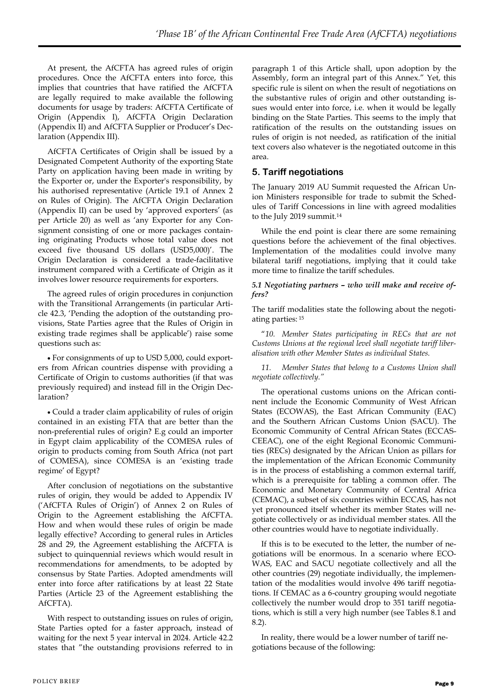At present, the AfCFTA has agreed rules of origin procedures. Once the AfCFTA enters into force, this implies that countries that have ratified the AfCFTA are legally required to make available the following documents for usage by traders: AfCFTA Certificate of Origin (Appendix I), AfCFTA Origin Declaration (Appendix II) and AfCFTA Supplier or Producer's Declaration (Appendix III).

AfCFTA Certificates of Origin shall be issued by a Designated Competent Authority of the exporting State Party on application having been made in writing by the Exporter or, under the Exporter's responsibility, by his authorised representative (Article 19.1 of Annex 2 on Rules of Origin). The AfCFTA Origin Declaration (Appendix II) can be used by 'approved exporters' (as per Article 20) as well as 'any Exporter for any Consignment consisting of one or more packages containing originating Products whose total value does not exceed five thousand US dollars (USD5,000)'. The Origin Declaration is considered a trade-facilitative instrument compared with a Certificate of Origin as it involves lower resource requirements for exporters.

The agreed rules of origin procedures in conjunction with the Transitional Arrangements (in particular Article 42.3, 'Pending the adoption of the outstanding provisions, State Parties agree that the Rules of Origin in existing trade regimes shall be applicable') raise some questions such as:

 For consignments of up to USD 5,000, could exporters from African countries dispense with providing a Certificate of Origin to customs authorities (if that was previously required) and instead fill in the Origin Declaration?

 Could a trader claim applicability of rules of origin contained in an existing FTA that are better than the non-preferential rules of origin? E.g could an importer in Egypt claim applicability of the COMESA rules of origin to products coming from South Africa (not part of COMESA), since COMESA is an 'existing trade regime' of Egypt?

After conclusion of negotiations on the substantive rules of origin, they would be added to Appendix IV ('AfCFTA Rules of Origin') of Annex 2 on Rules of Origin to the Agreement establishing the AfCFTA. How and when would these rules of origin be made legally effective? According to general rules in Articles 28 and 29, the Agreement establishing the AfCFTA is subject to quinquennial reviews which would result in recommendations for amendments, to be adopted by consensus by State Parties. Adopted amendments will enter into force after ratifications by at least 22 State Parties (Article 23 of the Agreement establishing the AfCFTA).

With respect to outstanding issues on rules of origin, State Parties opted for a faster approach, instead of waiting for the next 5 year interval in 2024. Article 42.2 states that "the outstanding provisions referred to in

paragraph 1 of this Article shall, upon adoption by the Assembly, form an integral part of this Annex." Yet, this specific rule is silent on when the result of negotiations on the substantive rules of origin and other outstanding issues would enter into force, i.e. when it would be legally binding on the State Parties. This seems to the imply that ratification of the results on the outstanding issues on rules of origin is not needed, as ratification of the initial text covers also whatever is the negotiated outcome in this area.

# **5. Tariff negotiations**

The January 2019 AU Summit requested the African Union Ministers responsible for trade to submit the Schedules of Tariff Concessions in line with agreed modalities to the July 2019 summit.<sup>14</sup>

While the end point is clear there are some remaining questions before the achievement of the final objectives. Implementation of the modalities could involve many bilateral tariff negotiations, implying that it could take more time to finalize the tariff schedules.

#### *5.1 Negotiating partners – who will make and receive offers?*

The tariff modalities state the following about the negotiating parties: <sup>15</sup>

"*10. Member States participating in RECs that are not Customs Unions at the regional level shall negotiate tariff liberalisation with other Member States as individual States.*

*11. Member States that belong to a Customs Union shall negotiate collectively."*

The operational customs unions on the African continent include the Economic Community of West African States (ECOWAS), the East African Community (EAC) and the Southern African Customs Union (SACU). The Economic Community of Central African States (ECCAS-CEEAC), one of the eight Regional Economic Communities (RECs) designated by the African Union as pillars for the implementation of the African Economic Community is in the process of establishing a common external tariff, which is a prerequisite for tabling a common offer. The Economic and Monetary Community of Central Africa (CEMAC), a subset of six countries within ECCAS, has not yet pronounced itself whether its member States will negotiate collectively or as individual member states. All the other countries would have to negotiate individually.

If this is to be executed to the letter, the number of negotiations will be enormous. In a scenario where ECO-WAS, EAC and SACU negotiate collectively and all the other countries (29) negotiate individually, the implementation of the modalities would involve 496 tariff negotiations. If CEMAC as a 6-country grouping would negotiate collectively the number would drop to 351 tariff negotiations, which is still a very high number (see Tables 8.1 and 8.2).

In reality, there would be a lower number of tariff negotiations because of the following: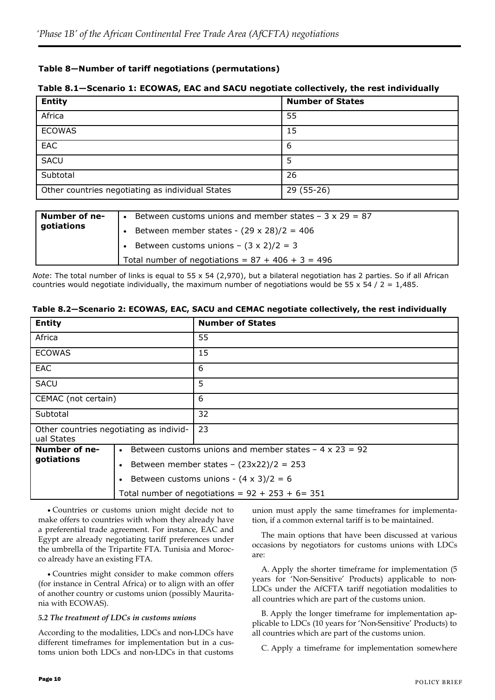# **Table 8—Number of tariff negotiations (permutations)**

### **Table 8.1—Scenario 1: ECOWAS, EAC and SACU negotiate collectively, the rest individually**

| <b>Entity</b>                                    | <b>Number of States</b> |
|--------------------------------------------------|-------------------------|
| Africa                                           | 55                      |
| <b>ECOWAS</b>                                    | 15                      |
| EAC                                              | -6                      |
| <b>SACU</b>                                      | 5                       |
| Subtotal                                         | 26                      |
| Other countries negotiating as individual States | 29 (55-26)              |

| Number of ne- | Between customs unions and member states $-3 \times 29 = 87$ |
|---------------|--------------------------------------------------------------|
| gotiations    | Between member states - $(29 \times 28)/2 = 406$             |
|               | • Between customs unions $-$ (3 x 2)/2 = 3                   |
|               | Total number of negotiations = $87 + 406 + 3 = 496$          |

*Note*: The total number of links is equal to 55 x 54 (2,970), but a bilateral negotiation has 2 parties. So if all African countries would negotiate individually, the maximum number of negotiations would be 55 x 54 / 2 = 1,485.

#### **Table 8.2—Scenario 2: ECOWAS, EAC, SACU and CEMAC negotiate collectively, the rest individually**

| <b>Entity</b>                                         |  | <b>Number of States</b>                                      |
|-------------------------------------------------------|--|--------------------------------------------------------------|
| Africa                                                |  | 55                                                           |
| <b>ECOWAS</b>                                         |  | 15                                                           |
| <b>EAC</b>                                            |  | 6                                                            |
| <b>SACU</b>                                           |  | 5                                                            |
| CEMAC (not certain)                                   |  | 6                                                            |
| Subtotal                                              |  | 32                                                           |
| Other countries negotiating as individ-<br>ual States |  | 23                                                           |
| Number of ne-                                         |  | Between customs unions and member states $-4 \times 23 = 92$ |
| gotiations                                            |  | Between member states - $(23x22)/2 = 253$                    |
|                                                       |  | Between customs unions - $(4 \times 3)/2 = 6$                |
|                                                       |  | Total number of negotiations = $92 + 253 + 6 = 351$          |

 Countries or customs union might decide not to make offers to countries with whom they already have a preferential trade agreement. For instance, EAC and Egypt are already negotiating tariff preferences under the umbrella of the Tripartite FTA. Tunisia and Morocco already have an existing FTA.

 Countries might consider to make common offers (for instance in Central Africa) or to align with an offer of another country or customs union (possibly Mauritania with ECOWAS).

#### *5.2 The treatment of LDCs in customs unions*

According to the modalities, LDCs and non-LDCs have different timeframes for implementation but in a customs union both LDCs and non-LDCs in that customs union must apply the same timeframes for implementation, if a common external tariff is to be maintained.

The main options that have been discussed at various occasions by negotiators for customs unions with LDCs are:

A. Apply the shorter timeframe for implementation (5 years for 'Non-Sensitive' Products) applicable to non-LDCs under the AfCFTA tariff negotiation modalities to all countries which are part of the customs union.

B. Apply the longer timeframe for implementation applicable to LDCs (10 years for 'Non-Sensitive' Products) to all countries which are part of the customs union.

C. Apply a timeframe for implementation somewhere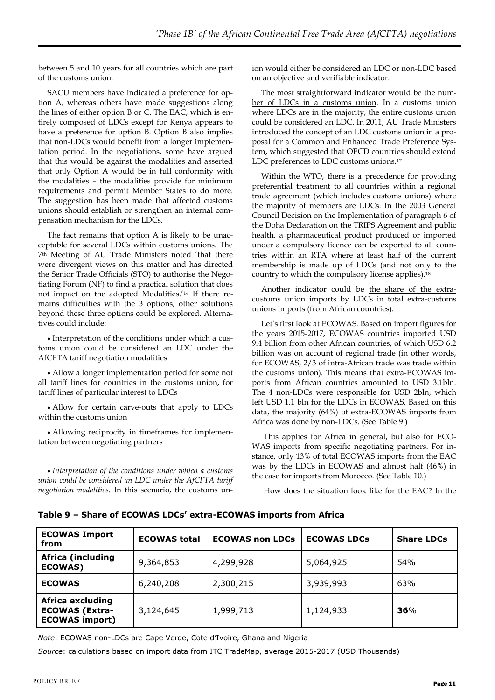between 5 and 10 years for all countries which are part of the customs union.

SACU members have indicated a preference for option A, whereas others have made suggestions along the lines of either option B or C. The EAC, which is entirely composed of LDCs except for Kenya appears to have a preference for option B. Option B also implies that non-LDCs would benefit from a longer implementation period. In the negotiations, some have argued that this would be against the modalities and asserted that only Option A would be in full conformity with the modalities – the modalities provide for minimum requirements and permit Member States to do more. The suggestion has been made that affected customs unions should establish or strengthen an internal compensation mechanism for the LDCs.

The fact remains that option A is likely to be unacceptable for several LDCs within customs unions. The 7th Meeting of AU Trade Ministers noted 'that there were divergent views on this matter and has directed the Senior Trade Officials (STO) to authorise the Negotiating Forum (NF) to find a practical solution that does not impact on the adopted Modalities.'<sup>16</sup> If there remains difficulties with the 3 options, other solutions beyond these three options could be explored. Alternatives could include:

• Interpretation of the conditions under which a customs union could be considered an LDC under the AfCFTA tariff negotiation modalities

 Allow a longer implementation period for some not all tariff lines for countries in the customs union, for tariff lines of particular interest to LDCs

 Allow for certain carve-outs that apply to LDCs within the customs union

 Allowing reciprocity in timeframes for implementation between negotiating partners

 *Interpretation of the conditions under which a customs union could be considered an LDC under the AfCFTA tariff negotiation modalities.* In this scenario, the customs un-

ion would either be considered an LDC or non-LDC based on an objective and verifiable indicator.

The most straightforward indicator would be the number of LDCs in a customs union. In a customs union where LDCs are in the majority, the entire customs union could be considered an LDC. In 2011, AU Trade Ministers introduced the concept of an LDC customs union in a proposal for a Common and Enhanced Trade Preference System, which suggested that OECD countries should extend LDC preferences to LDC customs unions.<sup>17</sup>

Within the WTO, there is a precedence for providing preferential treatment to all countries within a regional trade agreement (which includes customs unions) where the majority of members are LDCs. In the 2003 General Council Decision on the Implementation of paragraph 6 of the Doha Declaration on the TRIPS Agreement and public health, a pharmaceutical product produced or imported under a compulsory licence can be exported to all countries within an RTA where at least half of the current membership is made up of LDCs (and not only to the country to which the compulsory license applies).<sup>18</sup>

Another indicator could be the share of the extracustoms union imports by LDCs in total extra-customs unions imports (from African countries).

Let's first look at ECOWAS. Based on import figures for the years 2015-2017, ECOWAS countries imported USD 9.4 billion from other African countries, of which USD 6.2 billion was on account of regional trade (in other words, for ECOWAS, 2/3 of intra-African trade was trade within the customs union). This means that extra-ECOWAS imports from African countries amounted to USD 3.1bln. The 4 non-LDCs were responsible for USD 2bln, which left USD 1.1 bln for the LDCs in ECOWAS. Based on this data, the majority (64%) of extra-ECOWAS imports from Africa was done by non-LDCs. (See Table 9.)

This applies for Africa in general, but also for ECO-WAS imports from specific negotiating partners. For instance, only 13% of total ECOWAS imports from the EAC was by the LDCs in ECOWAS and almost half (46%) in the case for imports from Morocco. (See Table 10.)

How does the situation look like for the EAC? In the

| <b>ECOWAS Import</b><br>from                                              | <b>ECOWAS total</b> | <b>ECOWAS non LDCs</b> | <b>ECOWAS LDCs</b> | <b>Share LDCs</b> |
|---------------------------------------------------------------------------|---------------------|------------------------|--------------------|-------------------|
| <b>Africa (including</b><br><b>ECOWAS)</b>                                | 9,364,853           | 4,299,928              | 5,064,925          | 54%               |
| <b>ECOWAS</b>                                                             | 6,240,208           | 2,300,215              | 3,939,993          | 63%               |
| <b>Africa excluding</b><br><b>ECOWAS (Extra-</b><br><b>ECOWAS import)</b> | 3,124,645           | 1,999,713              | 1,124,933          | 36%               |

**Table 9 – Share of ECOWAS LDCs' extra-ECOWAS imports from Africa**

*Note*: ECOWAS non-LDCs are Cape Verde, Cote d'Ivoire, Ghana and Nigeria

*Source*: calculations based on import data from ITC TradeMap, average 2015-2017 (USD Thousands)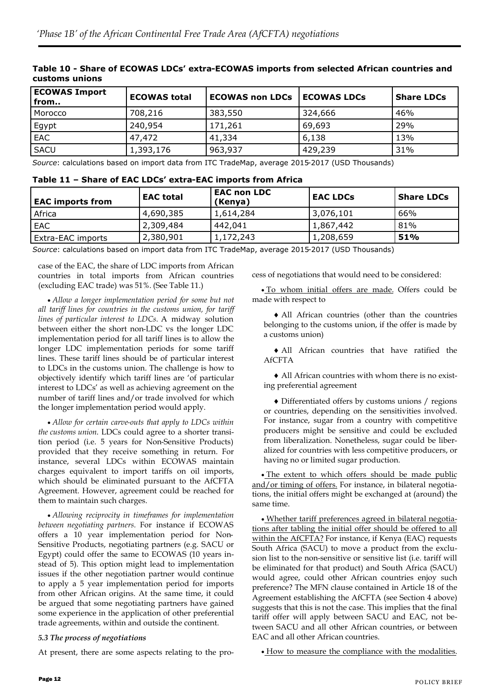| <b>ECOWAS Import</b><br>from | <b>ECOWAS total</b> | <b>ECOWAS non LDCs</b> | <b>ECOWAS LDCs</b> | <b>Share LDCs</b> |
|------------------------------|---------------------|------------------------|--------------------|-------------------|
| Morocco                      | 708,216             | 383,550                | 324,666            | 46%               |
| Egypt                        | 240,954             | 171,261                | 69,693             | 29%               |
| <b>EAC</b>                   | 47,472              | 41,334                 | 6,138              | 13%               |
| <b>SACU</b>                  | 1,393,176           | 963,937                | 429,239            | 31%               |

# **Table 10 - Share of ECOWAS LDCs' extra-ECOWAS imports from selected African countries and customs unions**

*Source*: calculations based on import data from ITC TradeMap, average 2015-2017 (USD Thousands)

|  | Table 11 - Share of EAC LDCs' extra-EAC imports from Africa |
|--|-------------------------------------------------------------|
|--|-------------------------------------------------------------|

| <b>EAC</b> imports from | <b>EAC total</b> | <b>EAC non LDC</b><br>(Kenya) | <b>EAC LDCs</b> | <b>Share LDCs</b> |  |
|-------------------------|------------------|-------------------------------|-----------------|-------------------|--|
| Africa                  | 4,690,385        | 1,614,284                     | 3,076,101       | 66%               |  |
| EAC.                    | 2,309,484        | 442,041                       | 1,867,442       | 81%               |  |
| Extra-EAC imports       | 2,380,901        | 1,172,243                     | 1,208,659       | 51%               |  |

*Source*: calculations based on import data from ITC TradeMap, average 2015-2017 (USD Thousands)

case of the EAC, the share of LDC imports from African countries in total imports from African countries (excluding EAC trade) was 51%. (See Table 11.)

 *Allow a longer implementation period for some but not all tariff lines for countries in the customs union, for tariff lines of particular interest to LDCs.* A midway solution between either the short non-LDC vs the longer LDC implementation period for all tariff lines is to allow the longer LDC implementation periods for some tariff lines. These tariff lines should be of particular interest to LDCs in the customs union. The challenge is how to objectively identify which tariff lines are 'of particular interest to LDCs' as well as achieving agreement on the number of tariff lines and/or trade involved for which the longer implementation period would apply.

 *Allow for certain carve-outs that apply to LDCs within the customs union*. LDCs could agree to a shorter transition period (i.e. 5 years for Non-Sensitive Products) provided that they receive something in return. For instance, several LDCs within ECOWAS maintain charges equivalent to import tariffs on oil imports, which should be eliminated pursuant to the AfCFTA Agreement. However, agreement could be reached for them to maintain such charges.

 *Allowing reciprocity in timeframes for implementation between negotiating partners.* For instance if ECOWAS offers a 10 year implementation period for Non-Sensitive Products, negotiating partners (e.g. SACU or Egypt) could offer the same to ECOWAS (10 years instead of 5). This option might lead to implementation issues if the other negotiation partner would continue to apply a 5 year implementation period for imports from other African origins. At the same time, it could be argued that some negotiating partners have gained some experience in the application of other preferential trade agreements, within and outside the continent.

#### *5.3 The process of negotiations*

At present, there are some aspects relating to the pro-

cess of negotiations that would need to be considered:

 To whom initial offers are made. Offers could be made with respect to

 All African countries (other than the countries belonging to the customs union, if the offer is made by a customs union)

 All African countries that have ratified the AfCFTA

 All African countries with whom there is no existing preferential agreement

 Differentiated offers by customs unions / regions or countries, depending on the sensitivities involved. For instance, sugar from a country with competitive producers might be sensitive and could be excluded from liberalization. Nonetheless, sugar could be liberalized for countries with less competitive producers, or having no or limited sugar production.

. The extent to which offers should be made public and/or timing of offers. For instance, in bilateral negotiations, the initial offers might be exchanged at (around) the same time.

 Whether tariff preferences agreed in bilateral negotiations after tabling the initial offer should be offered to all within the AfCFTA? For instance, if Kenya (EAC) requests South Africa (SACU) to move a product from the exclusion list to the non-sensitive or sensitive list (i.e. tariff will be eliminated for that product) and South Africa (SACU) would agree, could other African countries enjoy such preference? The MFN clause contained in Article 18 of the Agreement establishing the AfCFTA (see Section 4 above) suggests that this is not the case. This implies that the final tariff offer will apply between SACU and EAC, not between SACU and all other African countries, or between EAC and all other African countries.

 $\bullet$  How to measure the compliance with the modalities.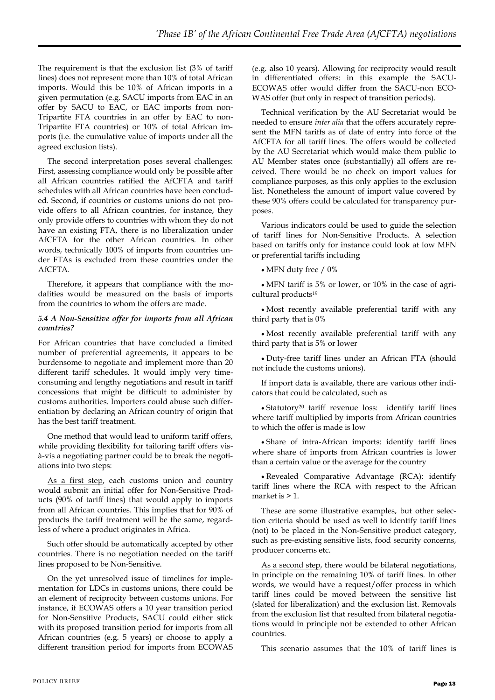The requirement is that the exclusion list (3% of tariff lines) does not represent more than 10% of total African imports. Would this be 10% of African imports in a given permutation (e.g. SACU imports from EAC in an offer by SACU to EAC, or EAC imports from non-Tripartite FTA countries in an offer by EAC to non-Tripartite FTA countries) or 10% of total African imports (i.e. the cumulative value of imports under all the agreed exclusion lists).

The second interpretation poses several challenges: First, assessing compliance would only be possible after all African countries ratified the AfCFTA and tariff schedules with all African countries have been concluded. Second, if countries or customs unions do not provide offers to all African countries, for instance, they only provide offers to countries with whom they do not have an existing FTA, there is no liberalization under AfCFTA for the other African countries. In other words, technically 100% of imports from countries under FTAs is excluded from these countries under the AfCFTA.

Therefore, it appears that compliance with the modalities would be measured on the basis of imports from the countries to whom the offers are made.

#### *5.4 A Non-Sensitive offer for imports from all African countries?*

For African countries that have concluded a limited number of preferential agreements, it appears to be burdensome to negotiate and implement more than 20 different tariff schedules. It would imply very timeconsuming and lengthy negotiations and result in tariff concessions that might be difficult to administer by customs authorities. Importers could abuse such differentiation by declaring an African country of origin that has the best tariff treatment.

One method that would lead to uniform tariff offers, while providing flexibility for tailoring tariff offers visà-vis a negotiating partner could be to break the negotiations into two steps:

As a first step, each customs union and country would submit an initial offer for Non-Sensitive Products (90% of tariff lines) that would apply to imports from all African countries. This implies that for 90% of products the tariff treatment will be the same, regardless of where a product originates in Africa.

Such offer should be automatically accepted by other countries. There is no negotiation needed on the tariff lines proposed to be Non-Sensitive.

On the yet unresolved issue of timelines for implementation for LDCs in customs unions, there could be an element of reciprocity between customs unions. For instance, if ECOWAS offers a 10 year transition period for Non-Sensitive Products, SACU could either stick with its proposed transition period for imports from all African countries (e.g. 5 years) or choose to apply a different transition period for imports from ECOWAS

(e.g. also 10 years). Allowing for reciprocity would result in differentiated offers: in this example the SACU-ECOWAS offer would differ from the SACU-non ECO-WAS offer (but only in respect of transition periods).

Technical verification by the AU Secretariat would be needed to ensure *inter alia* that the offers accurately represent the MFN tariffs as of date of entry into force of the AfCFTA for all tariff lines. The offers would be collected by the AU Secretariat which would make them public to AU Member states once (substantially) all offers are received. There would be no check on import values for compliance purposes, as this only applies to the exclusion list. Nonetheless the amount of import value covered by these 90% offers could be calculated for transparency purposes.

Various indicators could be used to guide the selection of tariff lines for Non-Sensitive Products. A selection based on tariffs only for instance could look at low MFN or preferential tariffs including

• MFN duty free / 0%

 MFN tariff is 5% or lower, or 10% in the case of agricultural products<sup>19</sup>

 Most recently available preferential tariff with any third party that is 0%

 Most recently available preferential tariff with any third party that is 5% or lower

 Duty-free tariff lines under an African FTA (should not include the customs unions).

If import data is available, there are various other indicators that could be calculated, such as

 Statutory<sup>20</sup> tariff revenue loss: identify tariff lines where tariff multiplied by imports from African countries to which the offer is made is low

 Share of intra-African imports: identify tariff lines where share of imports from African countries is lower than a certain value or the average for the country

 Revealed Comparative Advantage (RCA): identify tariff lines where the RCA with respect to the African market is > 1.

These are some illustrative examples, but other selection criteria should be used as well to identify tariff lines (not) to be placed in the Non-Sensitive product category, such as pre-existing sensitive lists, food security concerns, producer concerns etc.

As a second step, there would be bilateral negotiations, in principle on the remaining 10% of tariff lines. In other words, we would have a request/offer process in which tariff lines could be moved between the sensitive list (slated for liberalization) and the exclusion list. Removals from the exclusion list that resulted from bilateral negotiations would in principle not be extended to other African countries.

This scenario assumes that the 10% of tariff lines is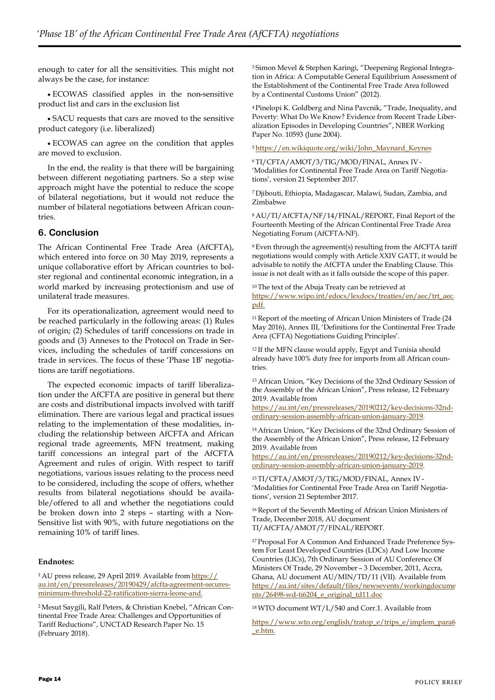enough to cater for all the sensitivities. This might not always be the case, for instance:

 ECOWAS classified apples in the non-sensitive product list and cars in the exclusion list

 SACU requests that cars are moved to the sensitive product category (i.e. liberalized)

 ECOWAS can agree on the condition that apples are moved to exclusion.

In the end, the reality is that there will be bargaining between different negotiating partners. So a step wise approach might have the potential to reduce the scope of bilateral negotiations, but it would not reduce the number of bilateral negotiations between African countries.

# **6. Conclusion**

The African Continental Free Trade Area (AfCFTA), which entered into force on 30 May 2019, represents a unique collaborative effort by African countries to bolster regional and continental economic integration, in a world marked by increasing protectionism and use of unilateral trade measures.

For its operationalization, agreement would need to be reached particularly in the following areas: (1) Rules of origin; (2) Schedules of tariff concessions on trade in goods and (3) Annexes to the Protocol on Trade in Services, including the schedules of tariff concessions on trade in services. The focus of these 'Phase 1B' negotiations are tariff negotiations.

The expected economic impacts of tariff liberalization under the AfCFTA are positive in general but there are costs and distributional impacts involved with tariff elimination. There are various legal and practical issues relating to the implementation of these modalities, including the relationship between AfCFTA and African regional trade agreements, MFN treatment, making tariff concessions an integral part of the AfCFTA Agreement and rules of origin. With respect to tariff negotiations, various issues relating to the process need to be considered, including the scope of offers, whether results from bilateral negotiations should be available/offered to all and whether the negotiations could be broken down into 2 steps – starting with a Non-Sensitive list with 90%, with future negotiations on the remaining 10% of tariff lines.

### **Endnotes:**

<sup>1</sup> AU press release, 29 April 2019. Available from [https://](https://au.int/en/pressreleases/20190429/afcfta-agreement-secures-minimum-threshold-22-ratification-sierra-leone-and) [au.int/en/pressreleases/20190429/afcfta-agreement-secures](https://au.int/en/pressreleases/20190429/afcfta-agreement-secures-minimum-threshold-22-ratification-sierra-leone-and)[minimum-threshold-22-ratification-sierra-leone-and.](https://au.int/en/pressreleases/20190429/afcfta-agreement-secures-minimum-threshold-22-ratification-sierra-leone-and)

2 Mesut Saygili, Ralf Peters, & Christian Knebel, "African Continental Free Trade Area: Challenges and Opportunities of Tariff Reductions", UNCTAD Research Paper No. 15 (February 2018).

3 Simon Mevel & Stephen Karingi, "Deepening Regional Integration in Africa: A Computable General Equilibrium Assessment of the Establishment of the Continental Free Trade Area followed by a Continental Customs Union" (2012).

<sup>4</sup>Pinelopi K. Goldberg and Nina Pavcnik, "Trade, Inequality, and Poverty: What Do We Know? Evidence from Recent Trade Liberalization Episodes in Developing Countries", NBER Working Paper No. 10593 (June 2004).

#### <sup>5</sup>[https://en.wikiquote.org/wiki/John\\_Maynard\\_Keynes](https://en.wikiquote.org/wiki/John_Maynard_Keynes)

<sup>6</sup>TI/CFTA/AMOT/3/TIG/MOD/FINAL, Annex IV - 'Modalities for Continental Free Trade Area on Tariff Negotiations', version 21 September 2017.

<sup>7</sup>Djibouti, Ethiopia, Madagascar, Malawi, Sudan, Zambia, and Zimbabwe

<sup>8</sup>AU/TI/AfCFTA/NF/14/FINAL/REPORT, Final Report of the Fourteenth Meeting of the African Continental Free Trade Area Negotiating Forum (AfCFTA-NF).

<sup>9</sup>Even through the agreement(s) resulting from the AfCFTA tariff negotiations would comply with Article XXIV GATT, it would be advisable to notify the AfCFTA under the Enabling Clause. This issue is not dealt with as it falls outside the scope of this paper.

<sup>10</sup>The text of the Abuja Treaty can be retrieved at [https://www.wipo.int/edocs/lexdocs/treaties/en/aec/trt\\_aec.](https://www.wipo.int/edocs/lexdocs/treaties/en/aec/trt_aec.pdf) [pdf.](https://www.wipo.int/edocs/lexdocs/treaties/en/aec/trt_aec.pdf)

<sup>11</sup>Report of the meeting of African Union Ministers of Trade (24 May 2016), Annex III, 'Definitions for the Continental Free Trade Area (CFTA) Negotiations Guiding Principles'.

<sup>12</sup>If the MFN clause would apply, Egypt and Tunisia should already have 100% duty free for imports from all African countries.

<sup>13</sup>African Union, "Key Decisions of the 32nd Ordinary Session of the Assembly of the African Union", Press release, 12 February 2019. Available from

[https://au.int/en/pressreleases/20190212/key-decisions-32nd](https://au.int/en/pressreleases/20190212/key-decisions-32nd-ordinary-session-assembly-african-union-january-2019)[ordinary-session-assembly-african-union-january-2019.](https://au.int/en/pressreleases/20190212/key-decisions-32nd-ordinary-session-assembly-african-union-january-2019)

<sup>14</sup>African Union, "Key Decisions of the 32nd Ordinary Session of the Assembly of the African Union", Press release, 12 February 2019. Available from

[https://au.int/en/pressreleases/20190212/key-decisions-32nd](https://au.int/en/pressreleases/20190212/key-decisions-32nd-ordinary-session-assembly-african-union-january-2019)[ordinary-session-assembly-african-union-january-2019.](https://au.int/en/pressreleases/20190212/key-decisions-32nd-ordinary-session-assembly-african-union-january-2019)

<sup>15</sup>TI/CFTA/AMOT/3/TIG/MOD/FINAL, Annex IV - 'Modalities for Continental Free Trade Area on Tariff Negotiations', version 21 September 2017.

<sup>16</sup> Report of the Seventh Meeting of African Union Ministers of Trade, December 2018, AU document TI/AfCFTA/AMOT/7/FINAL/REPORT.

17 Proposal For A Common And Enhanced Trade Preference System For Least Developed Countries (LDCs) And Low Income Countries (LICs), 7th Ordinary Session of AU Conference Of Ministers Of Trade, 29 November – 3 December, 2011, Accra, Ghana, AU document AU/MIN/TD/11 (VII). Available from [https://au.int/sites/default/files/newsevents/workingdocume](https://au.int/sites/default/files/newsevents/workingdocuments/26498-wd-ti6204_e_original_td11.doc) [nts/26498-wd-ti6204\\_e\\_original\\_td11.doc](https://au.int/sites/default/files/newsevents/workingdocuments/26498-wd-ti6204_e_original_td11.doc)

<sup>18</sup>WTO document WT/L/540 and Corr.1. Available from

[https://www.wto.org/english/tratop\\_e/trips\\_e/implem\\_para6](https://www.wto.org/english/tratop_e/trips_e/implem_para6_e.htm) [\\_e.htm.](https://www.wto.org/english/tratop_e/trips_e/implem_para6_e.htm)